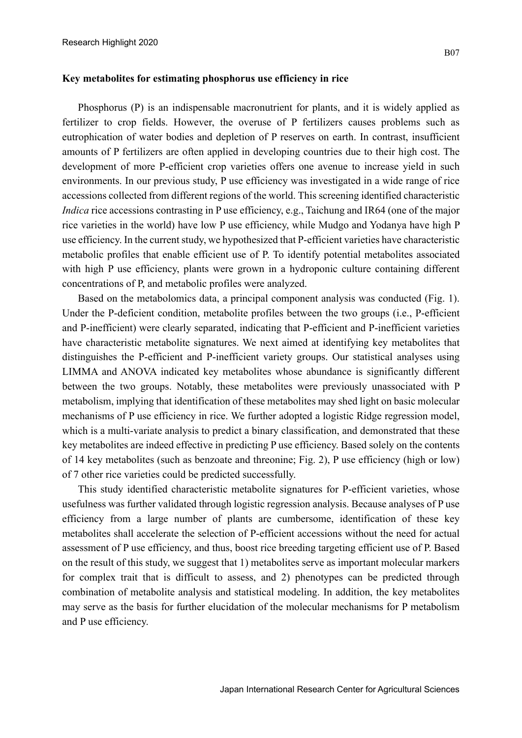## **Key metabolites for estimating phosphorus use efficiency in rice**

Phosphorus (P) is an indispensable macronutrient for plants, and it is widely applied as fertilizer to crop fields. However, the overuse of P fertilizers causes problems such as eutrophication of water bodies and depletion of P reserves on earth. In contrast, insufficient amounts of P fertilizers are often applied in developing countries due to their high cost. The development of more P-efficient crop varieties offers one avenue to increase yield in such environments. In our previous study, P use efficiency was investigated in a wide range of rice accessions collected from different regions of the world. This screening identified characteristic *Indica* rice accessions contrasting in P use efficiency, e.g., Taichung and IR64 (one of the major rice varieties in the world) have low P use efficiency, while Mudgo and Yodanya have high P use efficiency. In the current study, we hypothesized that P-efficient varieties have characteristic metabolic profiles that enable efficient use of P. To identify potential metabolites associated with high P use efficiency, plants were grown in a hydroponic culture containing different concentrations of P, and metabolic profiles were analyzed.

Based on the metabolomics data, a principal component analysis was conducted (Fig. 1). Under the P-deficient condition, metabolite profiles between the two groups (i.e., P-efficient and P-inefficient) were clearly separated, indicating that P-efficient and P-inefficient varieties have characteristic metabolite signatures. We next aimed at identifying key metabolites that distinguishes the P-efficient and P-inefficient variety groups. Our statistical analyses using LIMMA and ANOVA indicated key metabolites whose abundance is significantly different between the two groups. Notably, these metabolites were previously unassociated with P metabolism, implying that identification of these metabolites may shed light on basic molecular mechanisms of P use efficiency in rice. We further adopted a logistic Ridge regression model, which is a multi-variate analysis to predict a binary classification, and demonstrated that these key metabolites are indeed effective in predicting P use efficiency. Based solely on the contents of 14 key metabolites (such as benzoate and threonine; Fig. 2), P use efficiency (high or low) of 7 other rice varieties could be predicted successfully.

This study identified characteristic metabolite signatures for P-efficient varieties, whose usefulness was further validated through logistic regression analysis. Because analyses of P use efficiency from a large number of plants are cumbersome, identification of these key metabolites shall accelerate the selection of P-efficient accessions without the need for actual assessment of P use efficiency, and thus, boost rice breeding targeting efficient use of P. Based on the result of this study, we suggest that 1) metabolites serve as important molecular markers for complex trait that is difficult to assess, and 2) phenotypes can be predicted through combination of metabolite analysis and statistical modeling. In addition, the key metabolites may serve as the basis for further elucidation of the molecular mechanisms for P metabolism and P use efficiency.